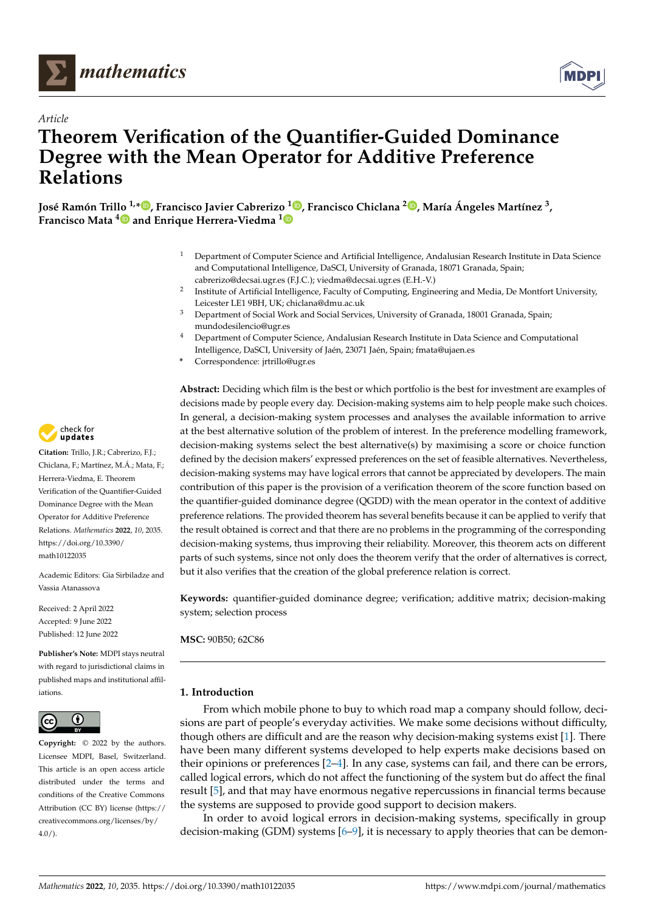

*Article*



# **Theorem Verification of the Quantifier-Guided Dominance Degree with the Mean Operator for Additive Preference Relations**

**José Ramón Trillo 1,[\\*](https://orcid.org/0000-0002-7998-5476) , Francisco Javier Cabrerizo <sup>1</sup> [,](https://orcid.org/0000-0001-7012-8649) Francisco Chiclana <sup>2</sup> [,](https://orcid.org/0000-0002-3952-4210) María Ángeles Martínez <sup>3</sup> , Francisco Mata [4](https://orcid.org/0000-0001-6099-0016) and Enrique Herrera-Viedma [1](https://orcid.org/0000-0002-7922-4984)**

- <sup>1</sup> Department of Computer Science and Artificial Intelligence, Andalusian Research Institute in Data Science and Computational Intelligence, DaSCI, University of Granada, 18071 Granada, Spain; cabrerizo@decsai.ugr.es (F.J.C.); viedma@decsai.ugr.es (E.H.-V.)
- 2 Institute of Artificial Intelligence, Faculty of Computing, Engineering and Media, De Montfort University, Leicester LE1 9BH, UK; chiclana@dmu.ac.uk
- <sup>3</sup> Department of Social Work and Social Services, University of Granada, 18001 Granada, Spain; mundodesilencio@ugr.es
- <sup>4</sup> Department of Computer Science, Andalusian Research Institute in Data Science and Computational Intelligence, DaSCI, University of Jaén, 23071 Jaén, Spain; fmata@ujaen.es
- **\*** Correspondence: jrtrillo@ugr.es

**Abstract:** Deciding which film is the best or which portfolio is the best for investment are examples of decisions made by people every day. Decision-making systems aim to help people make such choices. In general, a decision-making system processes and analyses the available information to arrive at the best alternative solution of the problem of interest. In the preference modelling framework, decision-making systems select the best alternative(s) by maximising a score or choice function defined by the decision makers' expressed preferences on the set of feasible alternatives. Nevertheless, decision-making systems may have logical errors that cannot be appreciated by developers. The main contribution of this paper is the provision of a verification theorem of the score function based on the quantifier-guided dominance degree (QGDD) with the mean operator in the context of additive preference relations. The provided theorem has several benefits because it can be applied to verify that the result obtained is correct and that there are no problems in the programming of the corresponding decision-making systems, thus improving their reliability. Moreover, this theorem acts on different parts of such systems, since not only does the theorem verify that the order of alternatives is correct, but it also verifies that the creation of the global preference relation is correct.

**Keywords:** quantifier-guided dominance degree; verification; additive matrix; decision-making system; selection process

**MSC:** 90B50; 62C86

# **1. Introduction**

From which mobile phone to buy to which road map a company should follow, decisions are part of people's everyday activities. We make some decisions without difficulty, though others are difficult and are the reason why decision-making systems exist [\[1\]](#page-7-0). There have been many different systems developed to help experts make decisions based on their opinions or preferences [\[2](#page-7-1)[–4\]](#page-7-2). In any case, systems can fail, and there can be errors, called logical errors, which do not affect the functioning of the system but do affect the final result [\[5\]](#page-7-3), and that may have enormous negative repercussions in financial terms because the systems are supposed to provide good support to decision makers.

In order to avoid logical errors in decision-making systems, specifically in group decision-making (GDM) systems [\[6](#page-7-4)[–9\]](#page-8-0), it is necessary to apply theories that can be demon-



**Citation:** Trillo, J.R.; Cabrerizo, F.J.; Chiclana, F.; Martínez, M.Á.; Mata, F.; Herrera-Viedma, E. Theorem Verification of the Quantifier-Guided Dominance Degree with the Mean Operator for Additive Preference Relations. *Mathematics* **2022**, *10*, 2035. [https://doi.org/10.3390/](https://doi.org/10.3390/math10122035) [math10122035](https://doi.org/10.3390/math10122035)

Academic Editors: Gia Sirbiladze and Vassia Atanassova

Received: 2 April 2022 Accepted: 9 June 2022 Published: 12 June 2022

**Publisher's Note:** MDPI stays neutral with regard to jurisdictional claims in published maps and institutional affiliations.



**Copyright:** © 2022 by the authors. Licensee MDPI, Basel, Switzerland. This article is an open access article distributed under the terms and conditions of the Creative Commons Attribution (CC BY) license [\(https://](https://creativecommons.org/licenses/by/4.0/) [creativecommons.org/licenses/by/](https://creativecommons.org/licenses/by/4.0/)  $4.0/$ ).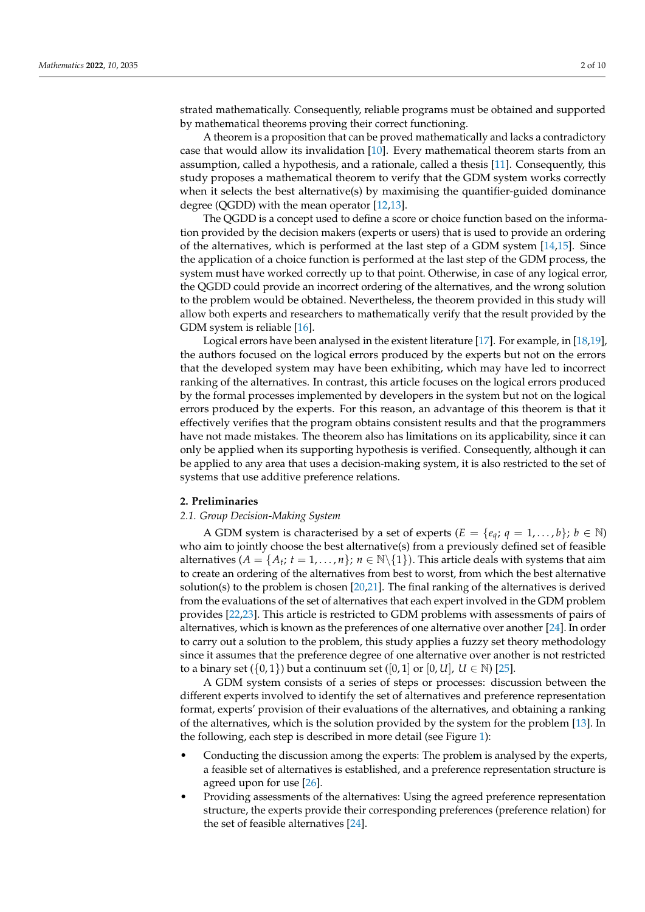strated mathematically. Consequently, reliable programs must be obtained and supported by mathematical theorems proving their correct functioning.

A theorem is a proposition that can be proved mathematically and lacks a contradictory case that would allow its invalidation [\[10\]](#page-8-1). Every mathematical theorem starts from an assumption, called a hypothesis, and a rationale, called a thesis [\[11\]](#page-8-2). Consequently, this study proposes a mathematical theorem to verify that the GDM system works correctly when it selects the best alternative(s) by maximising the quantifier-guided dominance degree (QGDD) with the mean operator [\[12](#page-8-3)[,13\]](#page-8-4).

The QGDD is a concept used to define a score or choice function based on the information provided by the decision makers (experts or users) that is used to provide an ordering of the alternatives, which is performed at the last step of a GDM system [\[14](#page-8-5)[,15\]](#page-8-6). Since the application of a choice function is performed at the last step of the GDM process, the system must have worked correctly up to that point. Otherwise, in case of any logical error, the QGDD could provide an incorrect ordering of the alternatives, and the wrong solution to the problem would be obtained. Nevertheless, the theorem provided in this study will allow both experts and researchers to mathematically verify that the result provided by the GDM system is reliable [\[16\]](#page-8-7).

Logical errors have been analysed in the existent literature [\[17\]](#page-8-8). For example, in [\[18](#page-8-9)[,19\]](#page-8-10), the authors focused on the logical errors produced by the experts but not on the errors that the developed system may have been exhibiting, which may have led to incorrect ranking of the alternatives. In contrast, this article focuses on the logical errors produced by the formal processes implemented by developers in the system but not on the logical errors produced by the experts. For this reason, an advantage of this theorem is that it effectively verifies that the program obtains consistent results and that the programmers have not made mistakes. The theorem also has limitations on its applicability, since it can only be applied when its supporting hypothesis is verified. Consequently, although it can be applied to any area that uses a decision-making system, it is also restricted to the set of systems that use additive preference relations.

# **2. Preliminaries**

### *2.1. Group Decision-Making System*

A GDM system is characterised by a set of experts  $(E = \{e_a; q = 1, \ldots, b\}; b \in \mathbb{N})$ who aim to jointly choose the best alternative(s) from a previously defined set of feasible alternatives  $(A = \{A_t; t = 1, ..., n\}; n \in \mathbb{N} \setminus \{1\})$ . This article deals with systems that aim to create an ordering of the alternatives from best to worst, from which the best alternative solution(s) to the problem is chosen [\[20](#page-8-11)[,21\]](#page-8-12). The final ranking of the alternatives is derived from the evaluations of the set of alternatives that each expert involved in the GDM problem provides [\[22,](#page-8-13)[23\]](#page-8-14). This article is restricted to GDM problems with assessments of pairs of alternatives, which is known as the preferences of one alternative over another [\[24\]](#page-8-15). In order to carry out a solution to the problem, this study applies a fuzzy set theory methodology since it assumes that the preference degree of one alternative over another is not restricted to a binary set  $({0, 1})$  but a continuum set  $([0, 1]$  or  $[0, U]$ ,  $U \in \mathbb{N}$ ) [\[25\]](#page-8-16).

A GDM system consists of a series of steps or processes: discussion between the different experts involved to identify the set of alternatives and preference representation format, experts' provision of their evaluations of the alternatives, and obtaining a ranking of the alternatives, which is the solution provided by the system for the problem [\[13\]](#page-8-4). In the following, each step is described in more detail (see Figure [1\)](#page-2-0):

- Conducting the discussion among the experts: The problem is analysed by the experts, a feasible set of alternatives is established, and a preference representation structure is agreed upon for use [\[26\]](#page-8-17).
- Providing assessments of the alternatives: Using the agreed preference representation structure, the experts provide their corresponding preferences (preference relation) for the set of feasible alternatives [\[24\]](#page-8-15).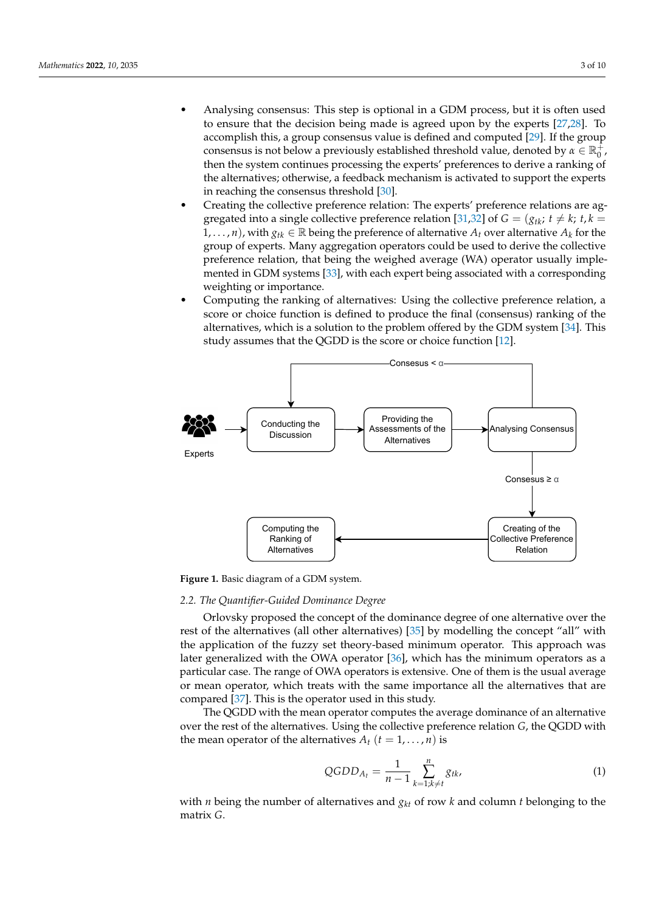- Analysing consensus: This step is optional in a GDM process, but it is often used to ensure that the decision being made is agreed upon by the experts [\[27,](#page-8-18)[28\]](#page-8-19). To accomplish this, a group consensus value is defined and computed [\[29\]](#page-8-20). If the group consensus is not below a previously established threshold value, denoted by  $\alpha \in \mathbb{R}_0^+$ , then the system continues processing the experts' preferences to derive a ranking of the alternatives; otherwise, a feedback mechanism is activated to support the experts in reaching the consensus threshold [\[30\]](#page-8-21).
- Creating the collective preference relation: The experts' preference relations are ag-gregated into a single collective preference relation [\[31,](#page-8-22)[32\]](#page-8-23) of  $G = (g_{tk}; t \neq k; t, k =$  $1, \ldots, n$ , with  $g_{tk} \in \mathbb{R}$  being the preference of alternative  $A_t$  over alternative  $A_k$  for the group of experts. Many aggregation operators could be used to derive the collective preference relation, that being the weighed average (WA) operator usually implemented in GDM systems [\[33\]](#page-8-24), with each expert being associated with a corresponding weighting or importance.
- Computing the ranking of alternatives: Using the collective preference relation, a score or choice function is defined to produce the final (consensus) ranking of the alternatives, which is a solution to the problem offered by the GDM system [\[34\]](#page-8-25). This study assumes that the QGDD is the score or choice function [\[12\]](#page-8-3).

<span id="page-2-0"></span>

**Figure 1.** Basic diagram of a GDM system.

#### *2.2. The Quantifier-Guided Dominance Degree*

Orlovsky proposed the concept of the dominance degree of one alternative over the rest of the alternatives (all other alternatives) [\[35\]](#page-8-26) by modelling the concept "all" with the application of the fuzzy set theory-based minimum operator. This approach was later generalized with the OWA operator [\[36\]](#page-8-27), which has the minimum operators as a particular case. The range of OWA operators is extensive. One of them is the usual average or mean operator, which treats with the same importance all the alternatives that are compared [\[37\]](#page-8-28). This is the operator used in this study.

The QGDD with the mean operator computes the average dominance of an alternative over the rest of the alternatives. Using the collective preference relation *G*, the QGDD with the mean operator of the alternatives  $A_t$  ( $t = 1, \ldots, n$ ) is

<span id="page-2-1"></span>
$$
QGDD_{A_t} = \frac{1}{n-1} \sum_{k=1;k \neq t}^{n} g_{tk},
$$
\n(1)

with *n* being the number of alternatives and  $g_{kt}$  of row *k* and column *t* belonging to the matrix *G*.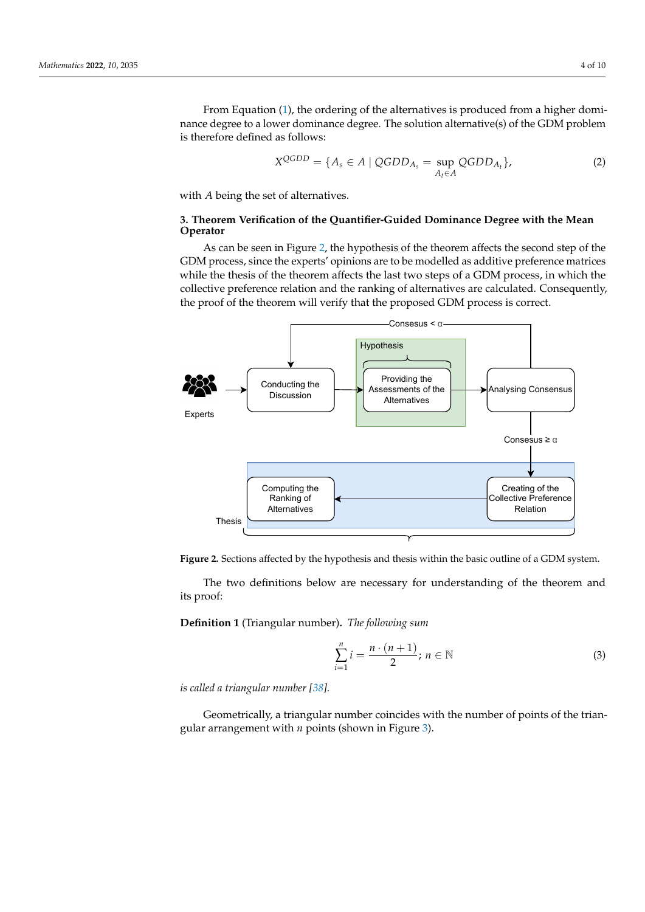From Equation [\(1\)](#page-2-1), the ordering of the alternatives is produced from a higher dominance degree to a lower dominance degree. The solution alternative(s) of the GDM problem is therefore defined as follows:

$$
X^{QGDD} = \{ A_s \in A \mid QGDD_{A_s} = \sup_{A_t \in A} QGDD_{A_t} \},\tag{2}
$$

with *A* being the set of alternatives.

# <span id="page-3-1"></span>**3. Theorem Verification of the Quantifier-Guided Dominance Degree with the Mean Operator**

As can be seen in Figure [2,](#page-3-0) the hypothesis of the theorem affects the second step of the GDM process, since the experts' opinions are to be modelled as additive preference matrices while the thesis of the theorem affects the last two steps of a GDM process, in which the collective preference relation and the ranking of alternatives are calculated. Consequently, the proof of the theorem will verify that the proposed GDM process is correct.

<span id="page-3-0"></span>

**Figure 2.** Sections affected by the hypothesis and thesis within the basic outline of a GDM system.

The two definitions below are necessary for understanding of the theorem and its proof:

**Definition 1** (Triangular number)**.** *The following sum*

$$
\sum_{i=1}^{n} i = \frac{n \cdot (n+1)}{2}; n \in \mathbb{N}
$$
\n(3)

*is called a triangular number [\[38\]](#page-8-29).*

Geometrically, a triangular number coincides with the number of points of the triangular arrangement with *n* points (shown in Figure [3\)](#page-4-0).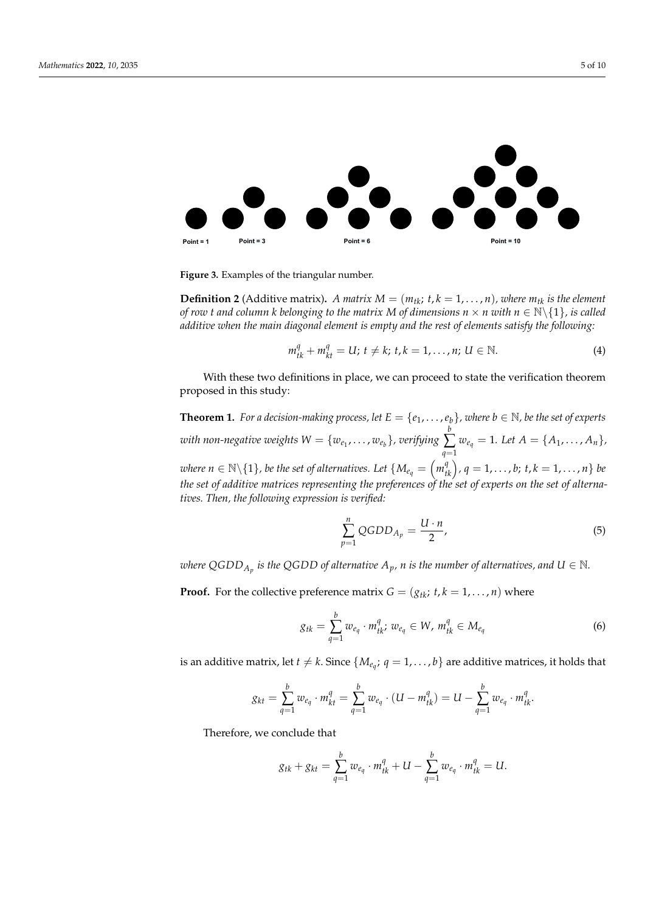<span id="page-4-0"></span>

**Figure 3.** Examples of the triangular number.

**Definition 2** (Additive matrix). *A matrix*  $M = (m_{tk}; t, k = 1, \ldots, n)$ , where  $m_{tk}$  is the element *of row t and column k belonging to the matrix M of dimensions*  $n \times n$  *with*  $n \in \mathbb{N}\backslash\{1\}$ *, is called additive when the main diagonal element is empty and the rest of elements satisfy the following:*

$$
m_{tk}^{q} + m_{kt}^{q} = U; t \neq k; t, k = 1, ..., n; U \in \mathbb{N}.
$$
 (4)

With these two definitions in place, we can proceed to state the verification theorem proposed in this study:

**Theorem 1.** For a decision-making process, let  $E = \{e_1, \ldots, e_b\}$ , where  $b \in \mathbb{N}$ , be the set of experts  $\textit{with non-negative weights } W = \{w_{e_1}, \ldots, w_{e_b}\}, \textit{verifying}$ *b* ∑ *q*=1  $w_{e_q} = 1$ *. Let*  $A = \{A_1, \ldots, A_n\}$ where  $n \in \mathbb{N}\backslash\{1\}$ , be the set of alternatives. Let  $\{M_{e_q} = \left(m_{tk}^q\right)$ ,  $q = 1,\ldots$  ,  $b; \, t,k = 1,\ldots, n\}$  be *the set of additive matrices representing the preferences of the set of experts on the set of alternatives. Then, the following expression is verified:*

$$
\sum_{p=1}^{n} QGDD_{A_p} = \frac{U \cdot n}{2},\tag{5}
$$

where  $QGDD_{A_p}$  is the QGDD of alternative  $A_p$ ,  $n$  is the number of alternatives, and  $U \in \mathbb{N}$ .

**Proof.** For the collective preference matrix  $G = (g_{tk}; t, k = 1, \ldots, n)$  where

$$
g_{tk} = \sum_{q=1}^{b} w_{e_q} \cdot m_{tk}^q; w_{e_q} \in W, m_{tk}^q \in M_{e_q}
$$
 (6)

is an additive matrix, let  $t \neq k$ . Since  $\{M_{e_q};\, q=1,\ldots,b\}$  are additive matrices, it holds that

$$
g_{kt} = \sum_{q=1}^{b} w_{e_q} \cdot m_{kt}^q = \sum_{q=1}^{b} w_{e_q} \cdot (U - m_{tk}^q) = U - \sum_{q=1}^{b} w_{e_q} \cdot m_{tk}^q.
$$

Therefore, we conclude that

$$
g_{tk} + g_{kt} = \sum_{q=1}^{b} w_{e_q} \cdot m_{tk}^q + U - \sum_{q=1}^{b} w_{e_q} \cdot m_{tk}^q = U.
$$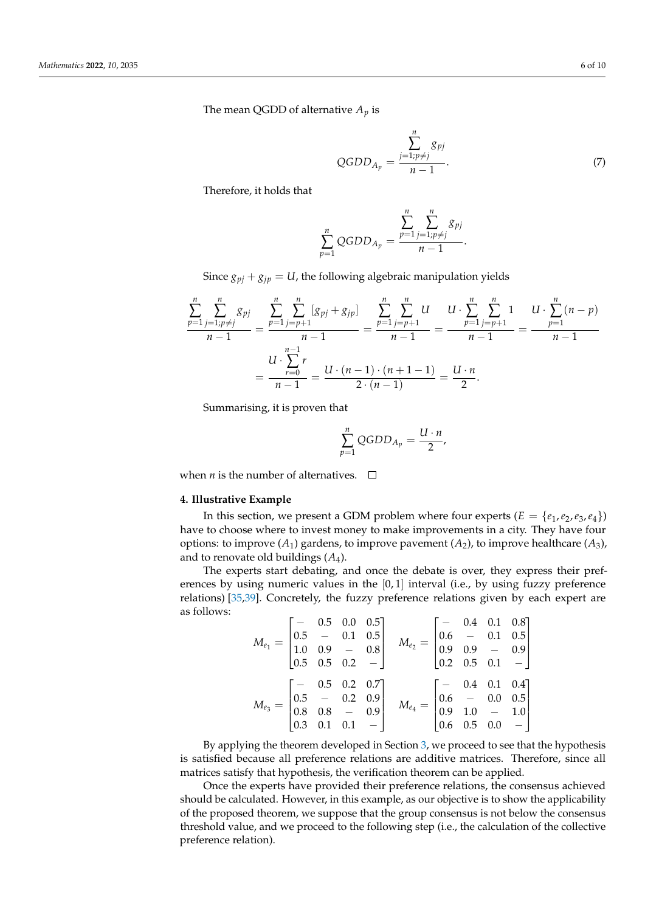The mean QGDD of alternative  $A_p$  is

QGDD<sub>A<sub>p</sub></sub> = 
$$
\frac{\sum_{j=1;p\neq j}^{n} g_{pj}}{n-1}
$$
. (7)

Therefore, it holds that

$$
\sum_{p=1}^{n} QGDD_{A_p} = \frac{\sum_{p=1}^{n} \sum_{j=1; p \neq j}^{n} g_{pj}}{n-1}.
$$

Since  $g_{pj} + g_{jp} = U$ , the following algebraic manipulation yields

$$
\frac{\sum_{p=1}^{n} \sum_{j=1; p \neq j}^{n} g_{pj}}{n-1} = \frac{\sum_{p=1}^{n} \sum_{j=p+1}^{n} [g_{pj} + g_{jp}] }{n-1} = \frac{\sum_{p=1}^{n} \sum_{j=p+1}^{n} U}{n-1} = \frac{U \cdot \sum_{p=1}^{n} \sum_{j=p+1}^{n} 1}{n-1} = \frac{U \cdot \sum_{p=1}^{n} r}{n-1} = \frac{U \cdot \sum_{p=0}^{n} r}{n-1} = \frac{U \cdot (n-1) \cdot (n+1-1)}{2 \cdot (n-1)} = \frac{U \cdot n}{2}.
$$

Summarising, it is proven that

$$
\sum_{p=1}^n QGDD_{A_p} = \frac{U \cdot n}{2},
$$

when *n* is the number of alternatives.  $\Box$ 

# **4. Illustrative Example**

In this section, we present a GDM problem where four experts  $(E = \{e_1, e_2, e_3, e_4\})$ have to choose where to invest money to make improvements in a city. They have four options: to improve  $(A_1)$  gardens, to improve pavement  $(A_2)$ , to improve healthcare  $(A_3)$ , and to renovate old buildings (*A*4).

The experts start debating, and once the debate is over, they express their preferences by using numeric values in the  $[0, 1]$  interval (i.e., by using fuzzy preference relations) [\[35](#page-8-26)[,39\]](#page-9-0). Concretely, the fuzzy preference relations given by each expert are as follows:

$$
M_{e_1} = \begin{bmatrix} - & 0.5 & 0.0 & 0.5 \\ 0.5 & - & 0.1 & 0.5 \\ 1.0 & 0.9 & - & 0.8 \\ 0.5 & 0.5 & 0.2 & - \end{bmatrix} \quad M_{e_2} = \begin{bmatrix} - & 0.4 & 0.1 & 0.8 \\ 0.6 & - & 0.1 & 0.5 \\ 0.9 & 0.9 & - & 0.9 \\ 0.2 & 0.5 & 0.1 & - \end{bmatrix}
$$

$$
M_{e_3} = \begin{bmatrix} - & 0.5 & 0.2 & 0.7 \\ 0.5 & - & 0.2 & 0.9 \\ 0.8 & 0.8 & - & 0.9 \\ 0.3 & 0.1 & 0.1 & - \end{bmatrix} \quad M_{e_4} = \begin{bmatrix} - & 0.4 & 0.1 & 0.4 \\ 0.6 & - & 0.0 & 0.5 \\ 0.9 & 1.0 & - & 1.0 \\ 0.6 & 0.5 & 0.0 & - \end{bmatrix}
$$

By applying the theorem developed in Section [3,](#page-3-1) we proceed to see that the hypothesis is satisfied because all preference relations are additive matrices. Therefore, since all matrices satisfy that hypothesis, the verification theorem can be applied.

Once the experts have provided their preference relations, the consensus achieved should be calculated. However, in this example, as our objective is to show the applicability of the proposed theorem, we suppose that the group consensus is not below the consensus threshold value, and we proceed to the following step (i.e., the calculation of the collective preference relation).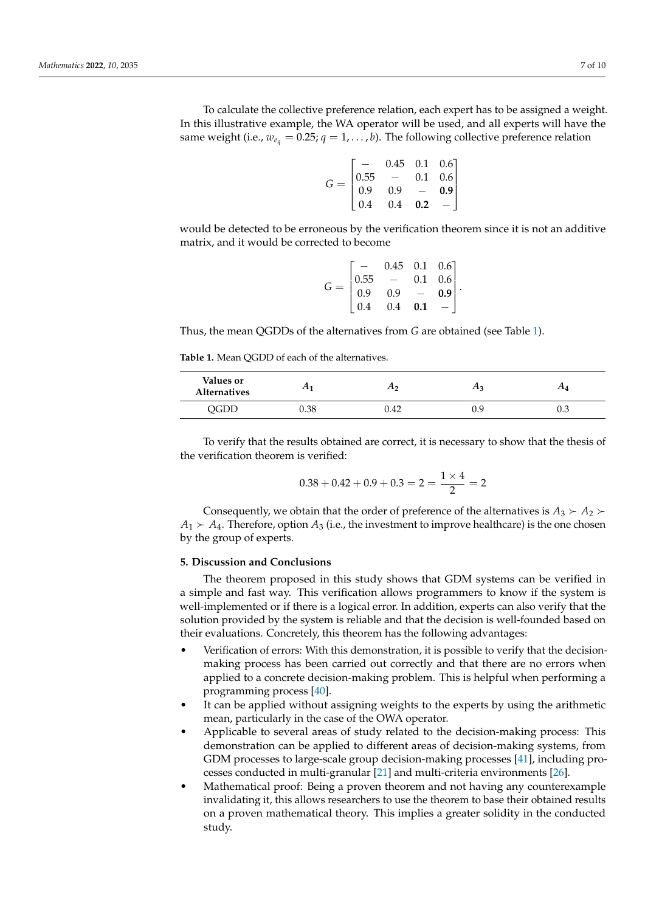To calculate the collective preference relation, each expert has to be assigned a weight. In this illustrative example, the WA operator will be used, and all experts will have the same weight (i.e.,  $w_{e_q} = 0.25$ ;  $q = 1, \ldots, b$ ). The following collective preference relation

| ${\cal G} =$ |                                             | $0.45$ 0.1 0.6]  |                          |                                 |  |
|--------------|---------------------------------------------|------------------|--------------------------|---------------------------------|--|
|              |                                             | $\hspace{0.1mm}$ | 0.1                      | 0.6                             |  |
|              | $\begin{array}{ l} 0.55 \\ 0.9 \end{array}$ | 0.9              | $\overline{\phantom{0}}$ | 0.9                             |  |
|              | $\vert$ 0.4                                 | $0.4\,$          | 0.2                      | $\hspace{0.1mm}-\hspace{0.1mm}$ |  |

would be detected to be erroneous by the verification theorem since it is not an additive matrix, and it would be corrected to become

| $G =$ |                                             | $0.45$ 0.1 0.6]          |     |                                            |  |
|-------|---------------------------------------------|--------------------------|-----|--------------------------------------------|--|
|       | $\begin{array}{ c} 0.55 \\ 0.9 \end{array}$ | $\overline{\phantom{a}}$ | 0.1 | $\begin{bmatrix} 0.6 \\ 0.9 \end{bmatrix}$ |  |
|       |                                             | 0.9                      |     |                                            |  |
|       | 0.4                                         | $0.4\,$                  | 0.1 |                                            |  |

Thus, the mean QGDDs of the alternatives from *G* are obtained (see Table [1\)](#page-6-0).

<span id="page-6-0"></span>**Table 1.** Mean QGDD of each of the alternatives.

| Values or<br><b>Alternatives</b> | $\pi_1$ | 1 L') | <i>г</i> ыз | 2 L 4 |
|----------------------------------|---------|-------|-------------|-------|
| QGDD                             | 0.38    | 0.42  | v<br>U.J    | U.3   |

To verify that the results obtained are correct, it is necessary to show that the thesis of the verification theorem is verified:

$$
0.38 + 0.42 + 0.9 + 0.3 = 2 = \frac{1 \times 4}{2} = 2
$$

Consequently, we obtain that the order of preference of the alternatives is  $A_3 \succ A_2$  $A_1 \succ A_4$ . Therefore, option  $A_3$  (i.e., the investment to improve healthcare) is the one chosen by the group of experts.

# **5. Discussion and Conclusions**

The theorem proposed in this study shows that GDM systems can be verified in a simple and fast way. This verification allows programmers to know if the system is well-implemented or if there is a logical error. In addition, experts can also verify that the solution provided by the system is reliable and that the decision is well-founded based on their evaluations. Concretely, this theorem has the following advantages:

- Verification of errors: With this demonstration, it is possible to verify that the decisionmaking process has been carried out correctly and that there are no errors when applied to a concrete decision-making problem. This is helpful when performing a programming process [\[40\]](#page-9-1).
- It can be applied without assigning weights to the experts by using the arithmetic mean, particularly in the case of the OWA operator.
- Applicable to several areas of study related to the decision-making process: This demonstration can be applied to different areas of decision-making systems, from GDM processes to large-scale group decision-making processes [\[41\]](#page-9-2), including processes conducted in multi-granular [\[21\]](#page-8-12) and multi-criteria environments [\[26\]](#page-8-17).
- Mathematical proof: Being a proven theorem and not having any counterexample invalidating it, this allows researchers to use the theorem to base their obtained results on a proven mathematical theory. This implies a greater solidity in the conducted study.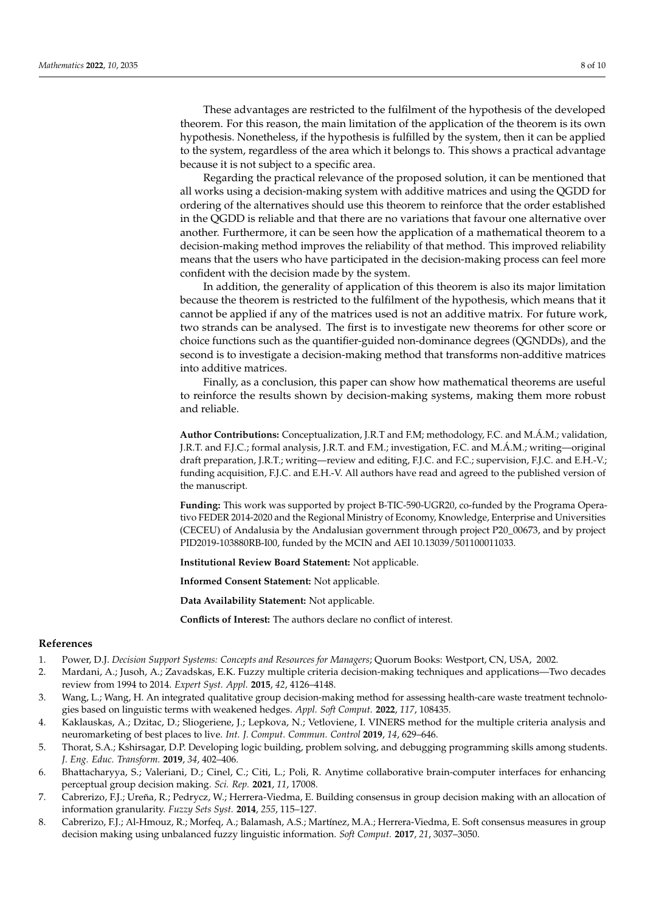These advantages are restricted to the fulfilment of the hypothesis of the developed theorem. For this reason, the main limitation of the application of the theorem is its own hypothesis. Nonetheless, if the hypothesis is fulfilled by the system, then it can be applied to the system, regardless of the area which it belongs to. This shows a practical advantage because it is not subject to a specific area.

Regarding the practical relevance of the proposed solution, it can be mentioned that all works using a decision-making system with additive matrices and using the QGDD for ordering of the alternatives should use this theorem to reinforce that the order established in the QGDD is reliable and that there are no variations that favour one alternative over another. Furthermore, it can be seen how the application of a mathematical theorem to a decision-making method improves the reliability of that method. This improved reliability means that the users who have participated in the decision-making process can feel more confident with the decision made by the system.

In addition, the generality of application of this theorem is also its major limitation because the theorem is restricted to the fulfilment of the hypothesis, which means that it cannot be applied if any of the matrices used is not an additive matrix. For future work, two strands can be analysed. The first is to investigate new theorems for other score or choice functions such as the quantifier-guided non-dominance degrees (QGNDDs), and the second is to investigate a decision-making method that transforms non-additive matrices into additive matrices.

Finally, as a conclusion, this paper can show how mathematical theorems are useful to reinforce the results shown by decision-making systems, making them more robust and reliable.

**Author Contributions:** Conceptualization, J.R.T and F.M; methodology, F.C. and M.Á.M.; validation, J.R.T. and F.J.C.; formal analysis, J.R.T. and F.M.; investigation, F.C. and M.Á.M.; writing—original draft preparation, J.R.T.; writing—review and editing, F.J.C. and F.C.; supervision, F.J.C. and E.H.-V.; funding acquisition, F.J.C. and E.H.-V. All authors have read and agreed to the published version of the manuscript.

**Funding:** This work was supported by project B-TIC-590-UGR20, co-funded by the Programa Operativo FEDER 2014-2020 and the Regional Ministry of Economy, Knowledge, Enterprise and Universities (CECEU) of Andalusia by the Andalusian government through project P20\_00673, and by project PID2019-103880RB-I00, funded by the MCIN and AEI 10.13039/501100011033.

**Institutional Review Board Statement:** Not applicable.

**Informed Consent Statement:** Not applicable.

**Data Availability Statement:** Not applicable.

**Conflicts of Interest:** The authors declare no conflict of interest.

# **References**

- <span id="page-7-0"></span>1. Power, D.J. *Decision Support Systems: Concepts and Resources for Managers*; Quorum Books: Westport, CN, USA, 2002.
- <span id="page-7-1"></span>2. Mardani, A.; Jusoh, A.; Zavadskas, E.K. Fuzzy multiple criteria decision-making techniques and applications—Two decades review from 1994 to 2014. *Expert Syst. Appl.* **2015**, *42*, 4126–4148.
- 3. Wang, L.; Wang, H. An integrated qualitative group decision-making method for assessing health-care waste treatment technologies based on linguistic terms with weakened hedges. *Appl. Soft Comput.* **2022**, *117*, 108435.
- <span id="page-7-2"></span>4. Kaklauskas, A.; Dzitac, D.; Sliogeriene, J.; Lepkova, N.; Vetloviene, I. VINERS method for the multiple criteria analysis and neuromarketing of best places to live. *Int. J. Comput. Commun. Control* **2019**, *14*, 629–646.
- <span id="page-7-3"></span>5. Thorat, S.A.; Kshirsagar, D.P. Developing logic building, problem solving, and debugging programming skills among students. *J. Eng. Educ. Transform.* **2019**, *34*, 402–406.
- <span id="page-7-4"></span>6. Bhattacharyya, S.; Valeriani, D.; Cinel, C.; Citi, L.; Poli, R. Anytime collaborative brain-computer interfaces for enhancing perceptual group decision making. *Sci. Rep.* **2021**, *11*, 17008.
- 7. Cabrerizo, F.J.; Ureña, R.; Pedrycz, W.; Herrera-Viedma, E. Building consensus in group decision making with an allocation of information granularity. *Fuzzy Sets Syst.* **2014**, *255*, 115–127.
- 8. Cabrerizo, F.J.; Al-Hmouz, R.; Morfeq, A.; Balamash, A.S.; Martínez, M.A.; Herrera-Viedma, E. Soft consensus measures in group decision making using unbalanced fuzzy linguistic information. *Soft Comput.* **2017**, *21*, 3037–3050.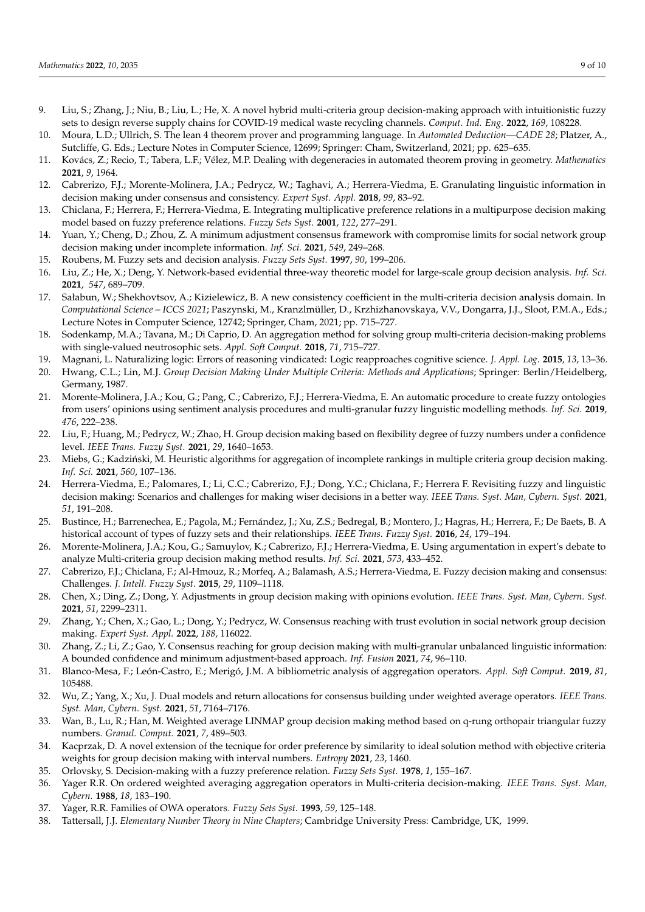- <span id="page-8-0"></span>9. Liu, S.; Zhang, J.; Niu, B.; Liu, L.; He, X. A novel hybrid multi-criteria group decision-making approach with intuitionistic fuzzy sets to design reverse supply chains for COVID-19 medical waste recycling channels. *Comput. Ind. Eng.* **2022**, *169*, 108228.
- <span id="page-8-1"></span>10. Moura, L.D.; Ullrich, S. The lean 4 theorem prover and programming language. In *Automated Deduction—CADE 28*; Platzer, A., Sutcliffe, G. Eds.; Lecture Notes in Computer Science, 12699; Springer: Cham, Switzerland, 2021; pp. 625–635.
- <span id="page-8-2"></span>11. Kovács, Z.; Recio, T.; Tabera, L.F.; Vélez, M.P. Dealing with degeneracies in automated theorem proving in geometry. *Mathematics* **2021**, *9*, 1964.
- <span id="page-8-3"></span>12. Cabrerizo, F.J.; Morente-Molinera, J.A.; Pedrycz, W.; Taghavi, A.; Herrera-Viedma, E. Granulating linguistic information in decision making under consensus and consistency. *Expert Syst. Appl.* **2018**, *99*, 83–92.
- <span id="page-8-4"></span>13. Chiclana, F.; Herrera, F.; Herrera-Viedma, E. Integrating multiplicative preference relations in a multipurpose decision making model based on fuzzy preference relations. *Fuzzy Sets Syst.* **2001**, *122*, 277–291.
- <span id="page-8-5"></span>14. Yuan, Y.; Cheng, D.; Zhou, Z. A minimum adjustment consensus framework with compromise limits for social network group decision making under incomplete information. *Inf. Sci.* **2021**, *549*, 249–268.
- <span id="page-8-6"></span>15. Roubens, M. Fuzzy sets and decision analysis. *Fuzzy Sets Syst.* **1997**, *90*, 199–206.
- <span id="page-8-7"></span>16. Liu, Z.; He, X.; Deng, Y. Network-based evidential three-way theoretic model for large-scale group decision analysis. *Inf. Sci.* **2021**, *547*, 689–709.
- <span id="page-8-8"></span>17. Sałabun, W.; Shekhovtsov, A.; Kizielewicz, B. A new consistency coefficient in the multi-criteria decision analysis domain. In *Computational Science – ICCS 2021*; Paszynski, M., Kranzlmüller, D., Krzhizhanovskaya, V.V., Dongarra, J.J., Sloot, P.M.A., Eds.; Lecture Notes in Computer Science, 12742; Springer, Cham, 2021; pp. 715–727.
- <span id="page-8-9"></span>18. Sodenkamp, M.A.; Tavana, M.; Di Caprio, D. An aggregation method for solving group multi-criteria decision-making problems with single-valued neutrosophic sets. *Appl. Soft Comput.* **2018**, *71*, 715–727.
- <span id="page-8-10"></span>19. Magnani, L. Naturalizing logic: Errors of reasoning vindicated: Logic reapproaches cognitive science. *J. Appl. Log.* **2015**, *13*, 13–36.
- <span id="page-8-11"></span>20. Hwang, C.L.; Lin, M.J. *Group Decision Making Under Multiple Criteria: Methods and Applications*; Springer: Berlin/Heidelberg, Germany, 1987.
- <span id="page-8-12"></span>21. Morente-Molinera, J.A.; Kou, G.; Pang, C.; Cabrerizo, F.J.; Herrera-Viedma, E. An automatic procedure to create fuzzy ontologies from users' opinions using sentiment analysis procedures and multi-granular fuzzy linguistic modelling methods. *Inf. Sci.* **2019**, *476*, 222–238.
- <span id="page-8-13"></span>22. Liu, F.; Huang, M.; Pedrycz, W.; Zhao, H. Group decision making based on flexibility degree of fuzzy numbers under a confidence level. *IEEE Trans. Fuzzy Syst.* **2021**, *29*, 1640–1653.
- <span id="page-8-14"></span>23. Miebs, G.; Kadziński, M. Heuristic algorithms for aggregation of incomplete rankings in multiple criteria group decision making. *Inf. Sci.* **2021**, *560*, 107–136.
- <span id="page-8-15"></span>24. Herrera-Viedma, E.; Palomares, I.; Li, C.C.; Cabrerizo, F.J.; Dong, Y.C.; Chiclana, F.; Herrera F. Revisiting fuzzy and linguistic decision making: Scenarios and challenges for making wiser decisions in a better way. *IEEE Trans. Syst. Man, Cybern. Syst.* **2021**, *51*, 191–208.
- <span id="page-8-16"></span>25. Bustince, H.; Barrenechea, E.; Pagola, M.; Fernández, J.; Xu, Z.S.; Bedregal, B.; Montero, J.; Hagras, H.; Herrera, F.; De Baets, B. A historical account of types of fuzzy sets and their relationships. *IEEE Trans. Fuzzy Syst.* **2016**, *24*, 179–194.
- <span id="page-8-17"></span>26. Morente-Molinera, J.A.; Kou, G.; Samuylov, K.; Cabrerizo, F.J.; Herrera-Viedma, E. Using argumentation in expert's debate to analyze Multi-criteria group decision making method results. *Inf. Sci.* **2021**, *573*, 433–452.
- <span id="page-8-18"></span>27. Cabrerizo, F.J.; Chiclana, F.; Al-Hmouz, R.; Morfeq, A.; Balamash, A.S.; Herrera-Viedma, E. Fuzzy decision making and consensus: Challenges. *J. Intell. Fuzzy Syst.* **2015**, *29*, 1109–1118.
- <span id="page-8-19"></span>28. Chen, X.; Ding, Z.; Dong, Y. Adjustments in group decision making with opinions evolution. *IEEE Trans. Syst. Man, Cybern. Syst.* **2021**, *51*, 2299–2311.
- <span id="page-8-20"></span>29. Zhang, Y.; Chen, X.; Gao, L.; Dong, Y.; Pedrycz, W. Consensus reaching with trust evolution in social network group decision making. *Expert Syst. Appl.* **2022**, *188*, 116022.
- <span id="page-8-21"></span>30. Zhang, Z.; Li, Z.; Gao, Y. Consensus reaching for group decision making with multi-granular unbalanced linguistic information: A bounded confidence and minimum adjustment-based approach. *Inf. Fusion* **2021**, *74*, 96–110.
- <span id="page-8-22"></span>31. Blanco-Mesa, F.; León-Castro, E.; Merigó, J.M. A bibliometric analysis of aggregation operators. *Appl. Soft Comput.* **2019**, *81*, 105488.
- <span id="page-8-23"></span>32. Wu, Z.; Yang, X.; Xu, J. Dual models and return allocations for consensus building under weighted average operators. *IEEE Trans. Syst. Man, Cybern. Syst.* **2021**, *51*, 7164–7176.
- <span id="page-8-24"></span>33. Wan, B., Lu, R.; Han, M. Weighted average LINMAP group decision making method based on q-rung orthopair triangular fuzzy numbers. *Granul. Comput.* **2021**, *7*, 489–503.
- <span id="page-8-25"></span>34. Kacprzak, D. A novel extension of the tecnique for order preference by similarity to ideal solution method with objective criteria weights for group decision making with interval numbers. *Entropy* **2021**, *23*, 1460.
- <span id="page-8-26"></span>35. Orlovsky, S. Decision-making with a fuzzy preference relation. *Fuzzy Sets Syst.* **1978**, *1*, 155–167.
- <span id="page-8-27"></span>36. Yager R.R. On ordered weighted averaging aggregation operators in Multi-criteria decision-making. *IEEE Trans. Syst. Man, Cybern.* **1988**, *18*, 183–190.
- <span id="page-8-28"></span>37. Yager, R.R. Families of OWA operators. *Fuzzy Sets Syst.* **1993**, *59*, 125–148.
- <span id="page-8-29"></span>38. Tattersall, J.J. *Elementary Number Theory in Nine Chapters*; Cambridge University Press: Cambridge, UK, 1999.